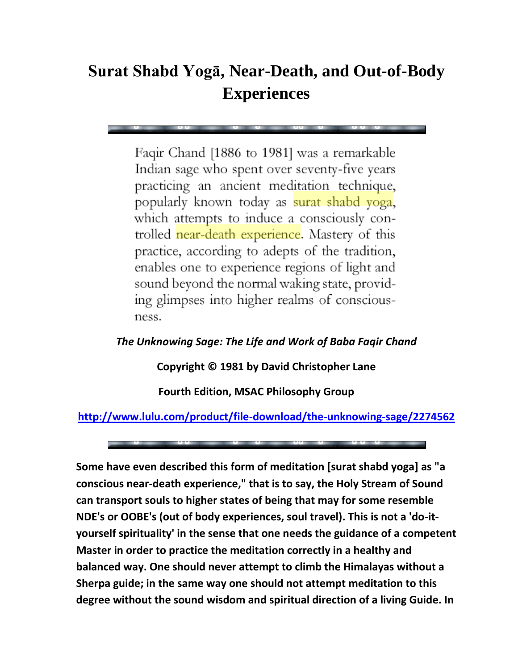## **Surat Shabd Yogā, Near-Death, and Out-of-Body Experiences**

Faqir Chand [1886 to 1981] was a remarkable Indian sage who spent over seventy-five years practicing an ancient meditation technique, popularly known today as surat shabd yoga, which attempts to induce a consciously controlled near-death experience. Mastery of this practice, according to adepts of the tradition, enables one to experience regions of light and sound beyond the normal waking state, providing glimpses into higher realms of consciousness.

## *The Unknowing Sage: The Life and Work of Baba Faqir Chand*

**Copyright © 1981 by David Christopher Lane**

**Fourth Edition, MSAC Philosophy Group** 

## **<http://www.lulu.com/product/file-download/the-unknowing-sage/2274562>**

**Some have even described this form of meditation [surat shabd yoga] as "a conscious near-death experience," that is to say, the Holy Stream of Sound can transport souls to higher states of being that may for some resemble NDE's or OOBE's (out of body experiences, soul travel). This is not a 'do-ityourself spirituality' in the sense that one needs the guidance of a competent Master in order to practice the meditation correctly in a healthy and balanced way. One should never attempt to climb the Himalayas without a Sherpa guide; in the same way one should not attempt meditation to this degree without the sound wisdom and spiritual direction of a living Guide. In**